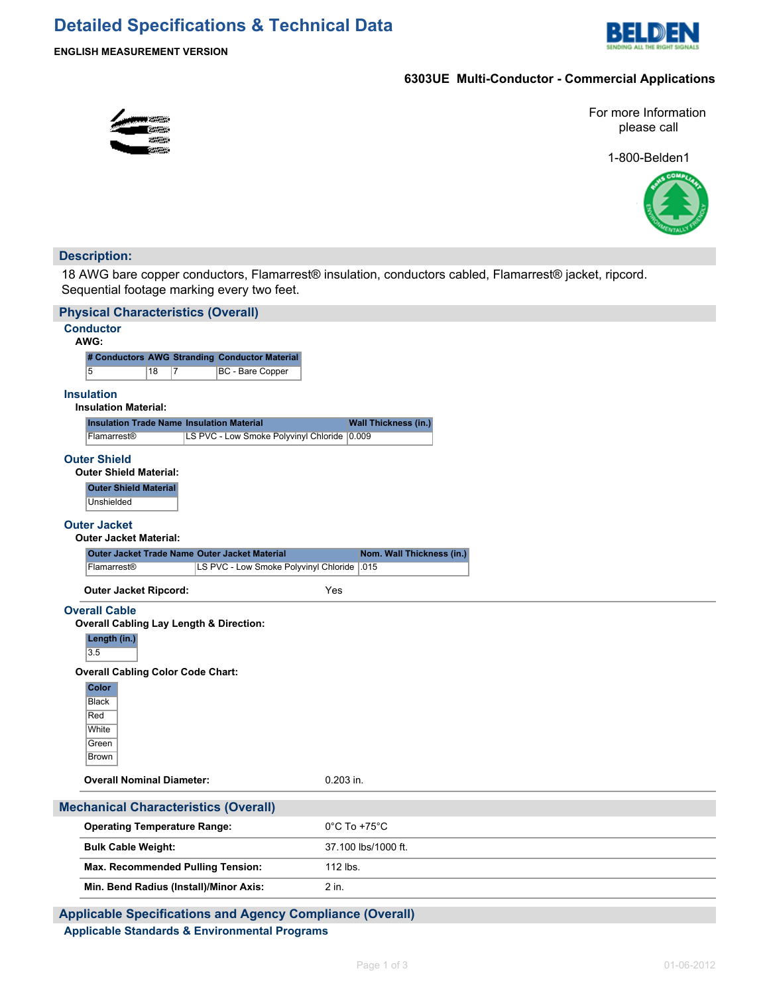# **Detailed Specifications & Technical Data**



## **6303UE Multi-Conductor - Commercial Applications**

For more Information please call

1-800-Belden1



## **Description:**

18 AWG bare copper conductors, Flamarrest® insulation, conductors cabled, Flamarrest® jacket, ripcord. Sequential footage marking every two feet.

| <b>Physical Characteristics (Overall)</b>                 |                                                                    |          |  |                                               |                                   |  |  |  |  |  |  |
|-----------------------------------------------------------|--------------------------------------------------------------------|----------|--|-----------------------------------------------|-----------------------------------|--|--|--|--|--|--|
| <b>Conductor</b><br>AWG:                                  |                                                                    |          |  |                                               |                                   |  |  |  |  |  |  |
|                                                           | # Conductors AWG Stranding Conductor Material                      |          |  |                                               |                                   |  |  |  |  |  |  |
|                                                           | 5                                                                  | 18<br>17 |  | BC - Bare Copper                              |                                   |  |  |  |  |  |  |
|                                                           | <b>Insulation</b>                                                  |          |  |                                               |                                   |  |  |  |  |  |  |
| <b>Insulation Material:</b>                               |                                                                    |          |  |                                               |                                   |  |  |  |  |  |  |
|                                                           | <b>Insulation Trade Name Insulation Material</b>                   |          |  |                                               | <b>Wall Thickness (in.)</b>       |  |  |  |  |  |  |
|                                                           | Flamarrest®                                                        |          |  | LS PVC - Low Smoke Polyvinyl Chloride 0.009   |                                   |  |  |  |  |  |  |
|                                                           | <b>Outer Shield</b>                                                |          |  |                                               |                                   |  |  |  |  |  |  |
|                                                           | <b>Outer Shield Material:</b>                                      |          |  |                                               |                                   |  |  |  |  |  |  |
|                                                           | <b>Outer Shield Material</b>                                       |          |  |                                               |                                   |  |  |  |  |  |  |
|                                                           | Unshielded                                                         |          |  |                                               |                                   |  |  |  |  |  |  |
|                                                           | <b>Outer Jacket</b>                                                |          |  |                                               |                                   |  |  |  |  |  |  |
|                                                           | <b>Outer Jacket Material:</b>                                      |          |  | Outer Jacket Trade Name Outer Jacket Material | Nom. Wall Thickness (in.)         |  |  |  |  |  |  |
|                                                           | Flamarrest®                                                        |          |  | LS PVC - Low Smoke Polyvinyl Chloride   015   |                                   |  |  |  |  |  |  |
|                                                           |                                                                    |          |  |                                               |                                   |  |  |  |  |  |  |
|                                                           | <b>Outer Jacket Ripcord:</b>                                       |          |  |                                               | Yes                               |  |  |  |  |  |  |
|                                                           | <b>Overall Cable</b>                                               |          |  |                                               |                                   |  |  |  |  |  |  |
|                                                           | <b>Overall Cabling Lay Length &amp; Direction:</b><br>Length (in.) |          |  |                                               |                                   |  |  |  |  |  |  |
|                                                           | 3.5                                                                |          |  |                                               |                                   |  |  |  |  |  |  |
|                                                           | <b>Overall Cabling Color Code Chart:</b>                           |          |  |                                               |                                   |  |  |  |  |  |  |
|                                                           | Color                                                              |          |  |                                               |                                   |  |  |  |  |  |  |
|                                                           | <b>Black</b>                                                       |          |  |                                               |                                   |  |  |  |  |  |  |
|                                                           | Red<br>White                                                       |          |  |                                               |                                   |  |  |  |  |  |  |
|                                                           | Green                                                              |          |  |                                               |                                   |  |  |  |  |  |  |
|                                                           | <b>Brown</b>                                                       |          |  |                                               |                                   |  |  |  |  |  |  |
|                                                           | <b>Overall Nominal Diameter:</b>                                   |          |  |                                               | $0.203$ in.                       |  |  |  |  |  |  |
|                                                           |                                                                    |          |  |                                               |                                   |  |  |  |  |  |  |
|                                                           | <b>Mechanical Characteristics (Overall)</b>                        |          |  |                                               |                                   |  |  |  |  |  |  |
|                                                           | <b>Operating Temperature Range:</b>                                |          |  |                                               | $0^{\circ}$ C To +75 $^{\circ}$ C |  |  |  |  |  |  |
|                                                           | <b>Bulk Cable Weight:</b>                                          |          |  |                                               | 37.100 lbs/1000 ft.               |  |  |  |  |  |  |
|                                                           | Max. Recommended Pulling Tension:                                  |          |  |                                               | 112 lbs.                          |  |  |  |  |  |  |
|                                                           | Min. Bend Radius (Install)/Minor Axis:                             |          |  |                                               | 2 in.                             |  |  |  |  |  |  |
| Applicable Specifications and Agoncy Compliance (Overall) |                                                                    |          |  |                                               |                                   |  |  |  |  |  |  |

**Applicable Specifications and Agency Compliance (Overall) Applicable Standards & Environmental Programs**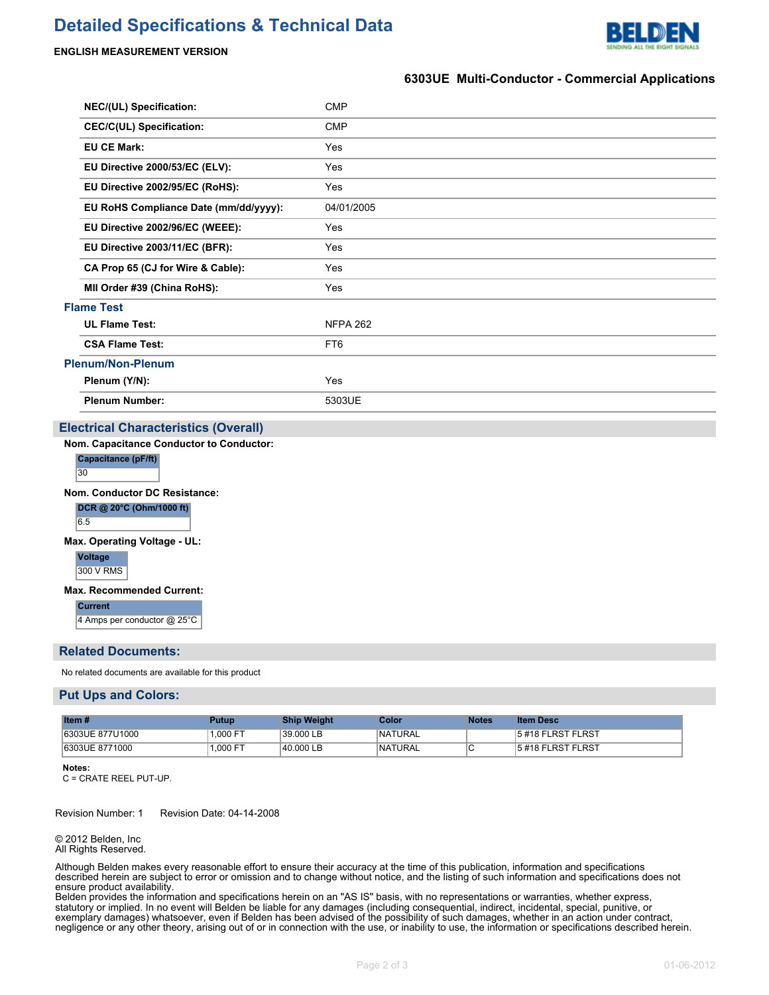# **Detailed Specifications & Technical Data**



### **ENGLISH MEASUREMENT VERSION**

## **6303UE Multi-Conductor - Commercial Applications**

| <b>NEC/(UL) Specification:</b>        | <b>CMP</b>      |
|---------------------------------------|-----------------|
| <b>CEC/C(UL) Specification:</b>       | <b>CMP</b>      |
|                                       | Yes             |
| EU Directive 2000/53/EC (ELV):        | Yes             |
| EU Directive 2002/95/EC (RoHS):       | Yes             |
| EU RoHS Compliance Date (mm/dd/yyyy): | 04/01/2005      |
| EU Directive 2002/96/EC (WEEE):       | Yes             |
| EU Directive 2003/11/EC (BFR):        | Yes             |
| CA Prop 65 (CJ for Wire & Cable):     | Yes             |
| MII Order #39 (China RoHS):           | Yes             |
|                                       |                 |
|                                       | <b>NFPA 262</b> |
|                                       | FT <sub>6</sub> |
|                                       |                 |
|                                       | Yes             |
|                                       | 5303UE          |
|                                       |                 |

## **Electrical Characteristics (Overall)**

**Nom. Capacitance Conductor to Conductor:**

| tance (pF<br>м. |  |
|-----------------|--|
| - 20            |  |

**Nom. Conductor DC Resistance:**

**DCR @ 20°C (Ohm/1000 ft)** 6.5

**Max. Operating Voltage - UL:**

**Voltage** 300 V RMS

#### **Max. Recommended Current:**

**Current** 4 Amps per conductor @ 25°C

#### **Related Documents:**

No related documents are available for this product

#### **Put Ups and Colors:**

| <b>Item#</b>    | Putup     | Ship Weight | Color           | Notes | <b>Item Desc</b>   |
|-----------------|-----------|-------------|-----------------|-------|--------------------|
| 6303UE 877U1000 | 1.000 F   | 39.000 LB   | <b>INATURAL</b> |       | 15#18 FLRST FLRST  |
| 6303UE 8771000  | $.000$ FT | 40.000 LB   | <b>INATURAL</b> |       | 15 #18 FLRST FLRST |

**Notes:**

C = CRATE REEL PUT-UP.

Revision Number: 1 Revision Date: 04-14-2008

#### © 2012 Belden, Inc All Rights Reserved.

Although Belden makes every reasonable effort to ensure their accuracy at the time of this publication, information and specifications described herein are subject to error or omission and to change without notice, and the listing of such information and specifications does not ensure product availability.

Belden provides the information and specifications herein on an "AS IS" basis, with no representations or warranties, whether express, statutory or implied. In no event will Belden be liable for any damages (including consequential, indirect, incidental, special, punitive, or exemplary damages) whatsoever, even if Belden has been advised of the possibility of such damages, whether in an action under contract, negligence or any other theory, arising out of or in connection with the use, or inability to use, the information or specifications described herein.